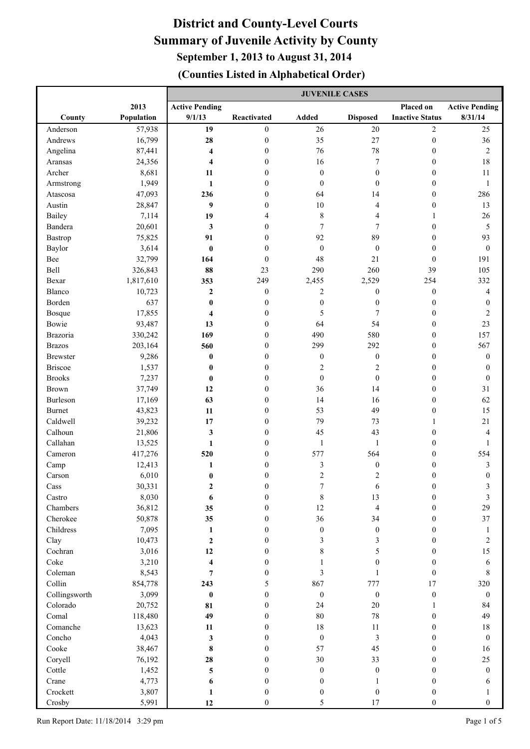|                      |                 | <b>JUVENILE CASES</b>   |                                      |                               |                          |                                      |                       |
|----------------------|-----------------|-------------------------|--------------------------------------|-------------------------------|--------------------------|--------------------------------------|-----------------------|
|                      | 2013            | <b>Active Pending</b>   |                                      |                               |                          | Placed on                            | <b>Active Pending</b> |
| County               | Population      | 9/1/13                  | Reactivated                          | <b>Added</b>                  | <b>Disposed</b>          | <b>Inactive Status</b>               | 8/31/14               |
| Anderson             | 57,938          | 19                      | $\boldsymbol{0}$                     | 26                            | $20\,$                   | $\overline{c}$                       | 25                    |
| Andrews              | 16,799          | 28                      | $\boldsymbol{0}$                     | 35                            | 27                       | $\boldsymbol{0}$                     | 36                    |
| Angelina             | 87,441          | 4                       | $\boldsymbol{0}$                     | 76                            | $78\,$                   | $\boldsymbol{0}$                     | $\sqrt{2}$            |
| Aransas              | 24,356          | $\overline{\mathbf{4}}$ | $\boldsymbol{0}$                     | 16                            | 7                        | $\boldsymbol{0}$                     | 18                    |
| Archer               | 8,681           | 11                      | $\boldsymbol{0}$                     | $\boldsymbol{0}$              | $\boldsymbol{0}$         | $\boldsymbol{0}$                     | 11                    |
| Armstrong            | 1,949           | $\mathbf{1}$            | $\boldsymbol{0}$                     | $\boldsymbol{0}$              | $\boldsymbol{0}$         | $\boldsymbol{0}$                     | $\mathbf{1}$          |
| Atascosa             | 47,093          | 236                     | $\boldsymbol{0}$                     | 64                            | 14                       | $\boldsymbol{0}$                     | 286                   |
| Austin               | 28,847          | 9                       | $\boldsymbol{0}$                     | 10                            | 4                        | $\boldsymbol{0}$                     | 13                    |
| Bailey               | 7,114           | 19                      | 4                                    | $\,$ 8 $\,$                   | 4                        | $\mathbf{1}$                         | 26                    |
| Bandera              | 20,601          | 3                       | $\boldsymbol{0}$                     | 7                             | 7                        | $\boldsymbol{0}$                     | $\sqrt{5}$            |
| Bastrop              | 75,825          | 91                      | $\boldsymbol{0}$                     | 92                            | 89                       | $\boldsymbol{0}$                     | 93                    |
| Baylor               | 3,614           | $\bf{0}$                | $\mathbf{0}$                         | $\boldsymbol{0}$              | $\boldsymbol{0}$         | $\boldsymbol{0}$                     | $\boldsymbol{0}$      |
| Bee                  | 32,799          | 164                     | $\mathbf{0}$                         | 48                            | 21                       | $\boldsymbol{0}$                     | 191                   |
| Bell                 | 326,843         | 88                      | 23                                   | 290                           | 260                      | 39                                   | 105                   |
| Bexar                | 1,817,610       | 353                     | 249                                  | 2,455                         | 2,529                    | 254                                  | 332                   |
| Blanco               | 10,723          | $\boldsymbol{2}$        | $\boldsymbol{0}$                     | 2                             | $\boldsymbol{0}$         | $\boldsymbol{0}$                     | 4                     |
| Borden               | 637             | $\bf{0}$                | $\boldsymbol{0}$                     | $\boldsymbol{0}$              | $\boldsymbol{0}$         | $\boldsymbol{0}$                     | $\boldsymbol{0}$      |
| Bosque               | 17,855          | 4                       | $\boldsymbol{0}$                     | 5                             | 7                        | $\boldsymbol{0}$                     | $\sqrt{2}$            |
| Bowie                | 93,487          | 13                      | $\boldsymbol{0}$                     | 64                            | 54                       | $\boldsymbol{0}$                     | 23                    |
| Brazoria             | 330,242         | 169                     | $\boldsymbol{0}$                     | 490                           | 580                      | $\boldsymbol{0}$                     | 157                   |
| <b>Brazos</b>        | 203,164         | 560                     | $\mathbf{0}$                         | 299                           | 292                      | $\boldsymbol{0}$                     | 567                   |
| <b>Brewster</b>      | 9,286           | $\bf{0}$                | $\mathbf{0}$                         | $\boldsymbol{0}$              | $\boldsymbol{0}$         | $\boldsymbol{0}$                     | $\boldsymbol{0}$      |
| <b>Briscoe</b>       | 1,537           | $\bf{0}$                | $\mathbf{0}$                         | $\sqrt{2}$                    | $\overline{c}$           | $\boldsymbol{0}$                     | $\boldsymbol{0}$      |
| <b>Brooks</b>        | 7,237           | $\bf{0}$                | $\mathbf{0}$                         | $\boldsymbol{0}$              | $\boldsymbol{0}$         | $\boldsymbol{0}$                     | $\boldsymbol{0}$      |
| <b>Brown</b>         | 37,749          | 12                      | $\mathbf{0}$                         | 36                            | 14                       | $\boldsymbol{0}$                     | $31\,$                |
| Burleson             | 17,169          | 63                      | $\boldsymbol{0}$                     | 14                            | 16                       | $\boldsymbol{0}$                     | 62                    |
| <b>Burnet</b>        | 43,823          | 11                      | $\boldsymbol{0}$                     | 53                            | 49                       | $\boldsymbol{0}$                     | 15                    |
| Caldwell             | 39,232          | 17                      | $\boldsymbol{0}$                     | 79                            | 73                       | 1                                    | $21\,$                |
| Calhoun              | 21,806          | 3                       | $\boldsymbol{0}$                     | 45                            | 43                       | $\boldsymbol{0}$                     | $\overline{4}$        |
| Callahan             | 13,525          | 1                       | $\boldsymbol{0}$                     | $\mathbf{1}$                  | 1                        | $\boldsymbol{0}$                     | $\mathbf{1}$          |
| Cameron              | 417,276         | 520                     | $\overline{0}$                       | 577                           | 564                      | $\boldsymbol{0}$                     | 554                   |
| Camp                 | 12,413          | 1                       | 0                                    | $\mathfrak{Z}$                | $\boldsymbol{0}$         | $\boldsymbol{0}$                     | $\sqrt{3}$            |
| Carson               | 6,010           | $\bf{0}$                | 0                                    | $\boldsymbol{2}$              | $\overline{c}$           | $\boldsymbol{0}$                     | $\boldsymbol{0}$      |
| $\rm Cass$           | 30,331          | 2                       | 0                                    | $\overline{7}$                | 6                        | $\boldsymbol{0}$                     | 3                     |
| Castro               | 8,030           | 6                       | $\boldsymbol{0}$                     | $\,$ $\,$                     | 13                       | $\boldsymbol{0}$                     | $\mathfrak{Z}$        |
| Chambers<br>Cherokee | 36,812          | 35                      | $\boldsymbol{0}$                     | 12                            | $\overline{\mathcal{L}}$ | $\boldsymbol{0}$                     | 29                    |
|                      | 50,878          | 35                      | $\boldsymbol{0}$                     | 36                            | 34                       | $\boldsymbol{0}$                     | 37                    |
| Childress            | 7,095           | $\mathbf{1}$            | $\boldsymbol{0}$                     | $\boldsymbol{0}$              | $\boldsymbol{0}$         | $\boldsymbol{0}$                     | $\mathbf{1}$          |
| Clay<br>Cochran      | 10,473<br>3,016 | $\mathbf 2$<br>12       | $\boldsymbol{0}$<br>$\boldsymbol{0}$ | $\mathfrak{Z}$<br>$\,$ 8 $\,$ | 3<br>5                   | $\boldsymbol{0}$<br>$\boldsymbol{0}$ | $\sqrt{2}$<br>15      |
| Coke                 | 3,210           | $\boldsymbol{4}$        |                                      | 1                             | $\boldsymbol{0}$         |                                      | $\sqrt{6}$            |
| Coleman              | 8,543           | $\overline{7}$          | $\boldsymbol{0}$<br>$\boldsymbol{0}$ | 3                             | 1                        | $\boldsymbol{0}$<br>$\boldsymbol{0}$ | $\,8\,$               |
| Collin               | 854,778         | 243                     | 5                                    | 867                           | 777                      | 17                                   | 320                   |
| Collingsworth        | 3,099           | $\pmb{0}$               | $\boldsymbol{0}$                     | $\boldsymbol{0}$              | $\boldsymbol{0}$         | $\boldsymbol{0}$                     | $\boldsymbol{0}$      |
| Colorado             | 20,752          | 81                      | $\boldsymbol{0}$                     | 24                            | $20\,$                   | $\mathbf{1}$                         | 84                    |
| Comal                | 118,480         | 49                      | $\boldsymbol{0}$                     | 80                            | $78\,$                   | $\boldsymbol{0}$                     | 49                    |
| Comanche             | 13,623          | 11                      | $\boldsymbol{0}$                     | 18                            | 11                       | $\boldsymbol{0}$                     | $18\,$                |
| Concho               | 4,043           | $\mathbf{3}$            | $\boldsymbol{0}$                     | $\boldsymbol{0}$              | $\mathfrak{Z}$           | $\boldsymbol{0}$                     | $\boldsymbol{0}$      |
| Cooke                | 38,467          | 8                       | $\boldsymbol{0}$                     | 57                            | 45                       | $\boldsymbol{0}$                     | 16                    |
| Coryell              | 76,192          | 28                      | $\boldsymbol{0}$                     | 30                            | 33                       | $\boldsymbol{0}$                     | $25\,$                |
| Cottle               | 1,452           | $\overline{\mathbf{5}}$ | $\mathbf{0}$                         | $\boldsymbol{0}$              | $\boldsymbol{0}$         | $\theta$                             | $\boldsymbol{0}$      |
| Crane                | 4,773           | 6                       | $\mathbf{0}$                         | $\boldsymbol{0}$              | 1                        | $\boldsymbol{0}$                     | 6                     |
| Crockett             | 3,807           | 1                       | $\overline{0}$                       | $\boldsymbol{0}$              | $\boldsymbol{0}$         | $\boldsymbol{0}$                     | $\mathbf{1}$          |
| Crosby               | 5,991           | 12                      | $\boldsymbol{0}$                     | 5                             | 17                       | $\boldsymbol{0}$                     | $\boldsymbol{0}$      |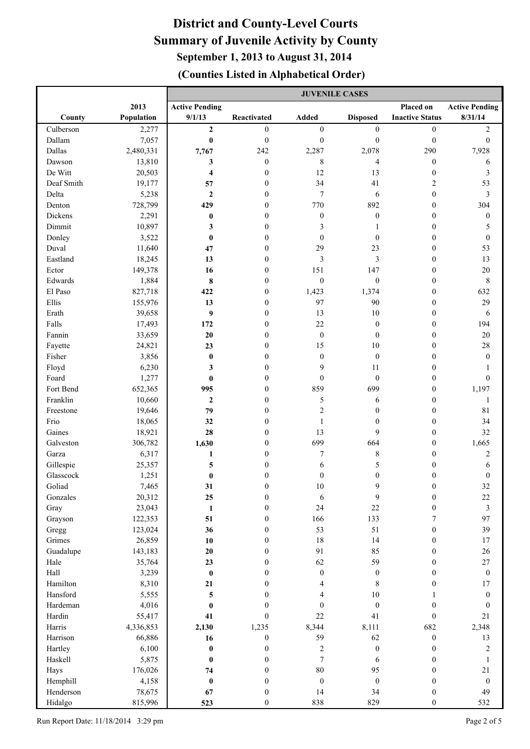|              |                | <b>JUVENILE CASES</b>   |                                      |                        |                        |                                      |                            |
|--------------|----------------|-------------------------|--------------------------------------|------------------------|------------------------|--------------------------------------|----------------------------|
|              | 2013           | <b>Active Pending</b>   |                                      |                        |                        | Placed on                            | <b>Active Pending</b>      |
| County       | Population     | 9/1/13                  | Reactivated                          | <b>Added</b>           | <b>Disposed</b>        | <b>Inactive Status</b>               | 8/31/14                    |
| Culberson    | 2,277          | $\mathbf{2}$            | $\overline{0}$                       | $\boldsymbol{0}$       | $\boldsymbol{0}$       | $\boldsymbol{0}$                     | $\sqrt{2}$                 |
| Dallam       | 7,057          | $\pmb{0}$               | $\boldsymbol{0}$                     | $\boldsymbol{0}$       | $\boldsymbol{0}$       | $\boldsymbol{0}$                     | $\boldsymbol{0}$           |
| Dallas       | 2,480,331      | 7,767                   | 242                                  | 2,287                  | 2,078                  | 290                                  | 7,928                      |
| Dawson       | 13,810         | 3                       | $\boldsymbol{0}$                     | $\,$ 8 $\,$            | 4                      | $\boldsymbol{0}$                     | 6                          |
| De Witt      | 20,503         | $\overline{\bf 4}$      | $\boldsymbol{0}$                     | 12                     | 13                     | $\boldsymbol{0}$                     | $\mathfrak{Z}$             |
| Deaf Smith   | 19,177         | 57                      | $\boldsymbol{0}$                     | 34                     | 41                     | 2                                    | 53                         |
| Delta        | 5,238          | $\mathbf{2}$            | $\boldsymbol{0}$                     | 7                      | 6                      | $\boldsymbol{0}$                     | $\mathfrak{Z}$             |
| Denton       | 728,799        | 429                     | $\boldsymbol{0}$                     | 770                    | 892                    | $\boldsymbol{0}$                     | 304                        |
| Dickens      | 2,291          | $\bf{0}$                | $\boldsymbol{0}$                     | $\boldsymbol{0}$       | $\boldsymbol{0}$       | $\boldsymbol{0}$                     | $\boldsymbol{0}$           |
| Dimmit       | 10,897         | 3                       | $\boldsymbol{0}$                     | 3                      | 1                      | $\boldsymbol{0}$                     | 5                          |
| Donley       | 3,522          | $\bf{0}$                | $\mathbf{0}$                         | $\boldsymbol{0}$       | $\mathbf{0}$           | $\boldsymbol{0}$                     | $\boldsymbol{0}$           |
| Duval        | 11,640         | 47                      | $\mathbf{0}$                         | 29                     | 23                     | $\boldsymbol{0}$                     | 53                         |
| Eastland     | 18,245         | 13                      | $\mathbf{0}$                         | 3                      | 3                      | $\boldsymbol{0}$                     | 13                         |
| Ector        | 149,378        | 16                      | $\mathbf{0}$                         | 151                    | 147                    | $\boldsymbol{0}$                     | $20\,$                     |
| Edwards      | 1,884          | 8                       | $\mathbf{0}$                         | $\boldsymbol{0}$       | $\boldsymbol{0}$       | $\boldsymbol{0}$                     | $\,$ 8 $\,$                |
| El Paso      | 827,718        | 422                     | $\mathbf{0}$                         | 1,423                  | 1,374                  | $\boldsymbol{0}$                     | 632                        |
| Ellis        | 155,976        | 13                      | $\boldsymbol{0}$                     | 97                     | 90                     | $\boldsymbol{0}$                     | 29                         |
| Erath        | 39,658         | 9                       | $\boldsymbol{0}$                     | 13                     | $10\,$                 | $\boldsymbol{0}$                     | 6                          |
| Falls        | 17,493         | 172                     | $\mathbf{0}$                         | 22                     | $\boldsymbol{0}$       | $\boldsymbol{0}$                     | 194                        |
| Fannin       | 33,659         | 20                      | $\mathbf{0}$                         | $\boldsymbol{0}$       | $\mathbf{0}$           | $\boldsymbol{0}$                     | $20\,$                     |
| Fayette      | 24,821         | 23                      | $\mathbf{0}$                         | 15                     | $10\,$                 | $\boldsymbol{0}$                     | 28                         |
| Fisher       | 3,856          | $\bf{0}$                | $\mathbf{0}$                         | $\boldsymbol{0}$       | $\boldsymbol{0}$       | $\boldsymbol{0}$                     | $\boldsymbol{0}$           |
| Floyd        | 6,230          | 3                       | $\mathbf{0}$                         | 9                      | 11                     | $\boldsymbol{0}$                     | 1                          |
| Foard        | 1,277          | $\bf{0}$                | $\mathbf{0}$                         | $\boldsymbol{0}$       | $\mathbf{0}$           | $\boldsymbol{0}$                     | $\boldsymbol{0}$           |
| Fort Bend    | 652,365        | 995                     | $\mathbf{0}$                         | 859                    | 699                    | $\boldsymbol{0}$                     | 1,197                      |
| Franklin     | 10,660         | $\mathbf{2}$            | $\boldsymbol{0}$                     | 5                      | 6                      | $\boldsymbol{0}$                     | $\mathbf{1}$               |
| Freestone    | 19,646         | 79                      | 0                                    | $\overline{c}$         | $\mathbf{0}$           | $\boldsymbol{0}$                     | 81                         |
| Frio         | 18,065         | 32                      | $\boldsymbol{0}$                     | $\mathbf{1}$           | $\mathbf{0}$           | $\boldsymbol{0}$                     | 34                         |
| Gaines       | 18,921         | 28                      | 0                                    | 13                     | 9                      | $\boldsymbol{0}$                     | 32                         |
| Galveston    | 306,782        | 1,630                   | $\mathbf{0}$                         | 699                    | 664                    | $\boldsymbol{0}$                     | 1,665                      |
| Garza        | 6,317          | 1                       | $\overline{0}$                       | $\boldsymbol{7}$       | 8                      | $\boldsymbol{0}$                     | $\sqrt{2}$                 |
| Gillespie    | 25,357         | 5                       | 0                                    | 6                      | 5                      | $\boldsymbol{0}$                     | 6                          |
| Glasscock    | 1,251          | $\bf{0}$                | 0                                    | $\boldsymbol{0}$       | $\boldsymbol{0}$       | $\boldsymbol{0}$                     | $\boldsymbol{0}$           |
| Goliad       | 7,465          | 31                      | $\boldsymbol{0}$                     | $10\,$                 | 9                      | $\boldsymbol{0}$                     | 32                         |
| Gonzales     | 20,312         | 25                      | $\boldsymbol{0}$                     | 6                      | 9                      | $\boldsymbol{0}$                     | $22\,$                     |
| Gray         | 23,043         | $\mathbf{1}$            | $\boldsymbol{0}$                     | 24                     | 22                     | $\boldsymbol{0}$                     | $\mathfrak{Z}$             |
| Grayson      | 122,353        | 51                      | $\boldsymbol{0}$                     | 166                    | 133                    | 7                                    | 97                         |
| Gregg        | 123,024        | 36                      | $\boldsymbol{0}$                     | 53                     | 51                     | $\boldsymbol{0}$                     | 39                         |
| Grimes       | 26,859         | 10                      | $\boldsymbol{0}$                     | 18                     | 14                     | $\boldsymbol{0}$                     | $17\,$                     |
| Guadalupe    | 143,183        | $20\,$                  | $\boldsymbol{0}$                     | 91                     | 85                     | $\boldsymbol{0}$                     | $26\,$                     |
| Hale<br>Hall | 35,764         | 23<br>$\pmb{0}$         | $\boldsymbol{0}$<br>$\boldsymbol{0}$ | 62<br>$\boldsymbol{0}$ | 59<br>$\boldsymbol{0}$ | $\boldsymbol{0}$<br>$\boldsymbol{0}$ | $27\,$<br>$\boldsymbol{0}$ |
| Hamilton     | 3,239<br>8,310 | 21                      | $\boldsymbol{0}$                     | 4                      | $\,$ 8 $\,$            | $\boldsymbol{0}$                     | $17\,$                     |
| Hansford     | 5,555          | $\overline{\mathbf{5}}$ | $\boldsymbol{0}$                     | 4                      | $10\,$                 | $\mathbf{1}$                         | $\boldsymbol{0}$           |
| Hardeman     | 4,016          | $\pmb{0}$               | $\boldsymbol{0}$                     | $\boldsymbol{0}$       | $\boldsymbol{0}$       | $\boldsymbol{0}$                     | $\boldsymbol{0}$           |
| Hardin       | 55,417         | 41                      | $\overline{0}$                       | 22                     | 41                     | $\boldsymbol{0}$                     | 21                         |
| Harris       | 4,336,853      | 2,130                   | 1,235                                | 8,344                  | 8,111                  | 682                                  | 2,348                      |
| Harrison     | 66,886         | 16                      | $\boldsymbol{0}$                     | 59                     | 62                     | $\boldsymbol{0}$                     | 13                         |
| Hartley      | 6,100          | $\pmb{0}$               | $\boldsymbol{0}$                     | $\sqrt{2}$             | $\boldsymbol{0}$       | $\boldsymbol{0}$                     | $\sqrt{2}$                 |
| Haskell      | 5,875          | $\bf{0}$                | $\boldsymbol{0}$                     | $\boldsymbol{7}$       | 6                      | $\boldsymbol{0}$                     | $\mathbf{1}$               |
| Hays         | 176,026        | 74                      | $\mathbf{0}$                         | $80\,$                 | 95                     | $\boldsymbol{0}$                     | $21\,$                     |
| Hemphill     | 4,158          | $\pmb{0}$               | $\boldsymbol{0}$                     | $\boldsymbol{0}$       | $\boldsymbol{0}$       | $\boldsymbol{0}$                     | $\boldsymbol{0}$           |
| Henderson    | 78,675         | 67                      | $\boldsymbol{0}$                     | 14                     | 34                     | $\boldsymbol{0}$                     | 49                         |
| Hidalgo      | 815,996        | 523                     | $\boldsymbol{0}$                     | 838                    | 829                    | $\boldsymbol{0}$                     | 532                        |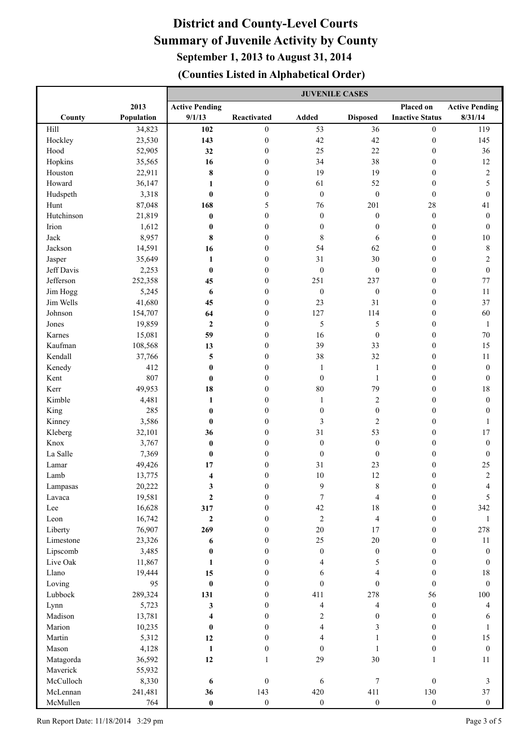|                    |                  | <b>JUVENILE CASES</b> |                      |                          |                  |                                      |                       |
|--------------------|------------------|-----------------------|----------------------|--------------------------|------------------|--------------------------------------|-----------------------|
|                    | 2013             | <b>Active Pending</b> |                      |                          |                  | Placed on                            | <b>Active Pending</b> |
| County             | Population       | 9/1/13                | Reactivated          | <b>Added</b>             | <b>Disposed</b>  | <b>Inactive Status</b>               | 8/31/14               |
| Hill               | 34,823           | 102                   | $\overline{0}$       | 53                       | 36               | $\boldsymbol{0}$                     | 119                   |
| Hockley            | 23,530           | 143                   | $\boldsymbol{0}$     | 42                       | 42               | $\boldsymbol{0}$                     | 145                   |
| Hood               | 52,905           | 32                    | $\boldsymbol{0}$     | 25                       | 22               | $\boldsymbol{0}$                     | 36                    |
| Hopkins            | 35,565           | 16                    | $\boldsymbol{0}$     | 34                       | 38               | $\boldsymbol{0}$                     | 12                    |
| Houston            | 22,911           | $\pmb{8}$             | $\boldsymbol{0}$     | 19                       | 19               | $\boldsymbol{0}$                     | $\sqrt{2}$            |
| Howard             | 36,147           | 1                     | $\boldsymbol{0}$     | 61                       | 52               | $\boldsymbol{0}$                     | 5                     |
| Hudspeth           | 3,318            | $\boldsymbol{0}$      | $\boldsymbol{0}$     | $\boldsymbol{0}$         | $\boldsymbol{0}$ | $\boldsymbol{0}$                     | $\boldsymbol{0}$      |
| Hunt               | 87,048           | 168                   | 5                    | 76                       | 201              | 28                                   | $41\,$                |
| Hutchinson         | 21,819           | $\pmb{0}$             | $\boldsymbol{0}$     | $\boldsymbol{0}$         | $\boldsymbol{0}$ | $\boldsymbol{0}$                     | $\boldsymbol{0}$      |
| Irion              | 1,612            | $\pmb{0}$             | $\boldsymbol{0}$     | $\boldsymbol{0}$         | $\boldsymbol{0}$ | $\boldsymbol{0}$                     | $\boldsymbol{0}$      |
| Jack               | 8,957            | 8                     | $\overline{0}$       | $\,$ 8 $\,$              | 6                | $\boldsymbol{0}$                     | $10\,$                |
| Jackson            | 14,591           | 16                    | $\boldsymbol{0}$     | 54                       | 62               | $\boldsymbol{0}$                     | $\,$ $\,$             |
| Jasper             | 35,649           | $\mathbf{1}$          | $\boldsymbol{0}$     | 31                       | 30               | $\boldsymbol{0}$                     | $\sqrt{2}$            |
| Jeff Davis         | 2,253            | $\pmb{0}$             | $\overline{0}$       | $\boldsymbol{0}$         | $\boldsymbol{0}$ | $\boldsymbol{0}$                     | $\boldsymbol{0}$      |
| Jefferson          | 252,358          | 45                    | $\boldsymbol{0}$     | 251                      | 237              | $\boldsymbol{0}$                     | $77 \,$               |
| Jim Hogg           | 5,245            | 6                     | $\boldsymbol{0}$     | $\boldsymbol{0}$         | $\boldsymbol{0}$ | $\boldsymbol{0}$                     | 11                    |
| Jim Wells          | 41,680           | 45                    | $\overline{0}$       | 23                       | 31               | $\boldsymbol{0}$                     | 37                    |
| Johnson            | 154,707          | 64                    | $\overline{0}$       | 127                      | 114              | $\boldsymbol{0}$                     | 60                    |
| Jones              | 19,859           | $\boldsymbol{2}$      | $\mathbf{0}$         | 5                        | 5                | $\boldsymbol{0}$                     | $\mathbf{1}$          |
| Karnes             | 15,081           | 59                    | $\overline{0}$       | 16                       | $\boldsymbol{0}$ | $\boldsymbol{0}$                     | $70\,$                |
| Kaufman            | 108,568          | 13                    | $\overline{0}$       | 39                       | 33               | $\boldsymbol{0}$                     | 15                    |
| Kendall            | 37,766           | 5                     | $\mathbf{0}$         | 38                       | 32               | $\boldsymbol{0}$                     | $11\,$                |
| Kenedy             | 412              | $\pmb{0}$             | $\theta$             | $\mathbf{1}$             | $\mathbf{1}$     | $\boldsymbol{0}$                     | $\boldsymbol{0}$      |
| Kent               | 807              | $\boldsymbol{0}$      | $\mathbf{0}$         | $\boldsymbol{0}$         | $\mathbf{1}$     | $\boldsymbol{0}$                     | $\boldsymbol{0}$      |
| Kerr               | 49,953           | 18                    | $\mathbf{0}$         | $80\,$                   | 79               | $\boldsymbol{0}$                     | 18                    |
| Kimble             | 4,481            | $\mathbf{1}$          | $\mathbf{0}$         | $\mathbf{1}$             | $\overline{c}$   | $\boldsymbol{0}$                     | $\boldsymbol{0}$      |
| King               | 285              | $\bf{0}$              | $\mathbf{0}$         | $\boldsymbol{0}$         | $\boldsymbol{0}$ | $\boldsymbol{0}$                     | $\boldsymbol{0}$      |
| Kinney             | 3,586            | $\bf{0}$              | $\mathbf{0}$         | 3                        | $\overline{2}$   | $\boldsymbol{0}$                     | 1                     |
| Kleberg            | 32,101           | 36                    | $\theta$             | 31                       | 53               | $\boldsymbol{0}$                     | 17                    |
| Knox               | 3,767            | $\pmb{0}$             | $\theta$             | $\boldsymbol{0}$         | $\boldsymbol{0}$ | $\mathbf{0}$                         | $\boldsymbol{0}$      |
| La Salle           | 7,369            | $\boldsymbol{0}$      | $\theta$<br>$\theta$ | $\boldsymbol{0}$<br>31   | $\boldsymbol{0}$ | $\boldsymbol{0}$                     | $\boldsymbol{0}$      |
| Lamar<br>Lamb      | 49,426<br>13,775 | 17<br>4               | $\boldsymbol{0}$     | 10                       | 23<br>12         | $\boldsymbol{0}$<br>$\boldsymbol{0}$ | $25\,$<br>$\sqrt{2}$  |
|                    | 20,222           | 3                     | $\Omega$             | 9                        | 8                | $\Omega$                             | $\Delta$              |
| Lampasas<br>Lavaca | 19,581           | $\boldsymbol{2}$      | $\boldsymbol{0}$     | $\tau$                   | 4                | $\boldsymbol{0}$                     | 5                     |
| Lee                | 16,628           | 317                   | $\boldsymbol{0}$     | 42                       | $18\,$           | $\boldsymbol{0}$                     | 342                   |
| Leon               | 16,742           | $\mathbf{2}$          | $\overline{0}$       | $\overline{c}$           | $\overline{4}$   | $\boldsymbol{0}$                     | $\mathbf{1}$          |
| Liberty            | 76,907           | 269                   | $\overline{0}$       | $20\,$                   | 17               | $\boldsymbol{0}$                     | 278                   |
| Limestone          | 23,326           | 6                     | $\overline{0}$       | 25                       | $20\,$           | $\boldsymbol{0}$                     | 11                    |
| Lipscomb           | 3,485            | $\pmb{0}$             | $\overline{0}$       | $\boldsymbol{0}$         | $\boldsymbol{0}$ | $\boldsymbol{0}$                     | $\boldsymbol{0}$      |
| Live Oak           | 11,867           | 1                     | $\boldsymbol{0}$     | $\overline{4}$           | 5                | $\boldsymbol{0}$                     | $\boldsymbol{0}$      |
| Llano              | 19,444           | 15                    | $\boldsymbol{0}$     | 6                        | 4                | $\boldsymbol{0}$                     | $18\,$                |
| Loving             | 95               | $\pmb{0}$             | $\boldsymbol{0}$     | $\boldsymbol{0}$         | $\theta$         | $\mathbf{0}$                         | $\boldsymbol{0}$      |
| Lubbock            | 289,324          | 131                   | $\boldsymbol{0}$     | 411                      | 278              | 56                                   | $100\,$               |
| Lynn               | 5,723            | 3                     | $\boldsymbol{0}$     | $\overline{\mathcal{L}}$ | 4                | $\mathbf{0}$                         | $\overline{4}$        |
| Madison            | 13,781           | 4                     | $\boldsymbol{0}$     | $\mathbf{2}$             | $\boldsymbol{0}$ | $\boldsymbol{0}$                     | 6                     |
| Marion             | 10,235           | $\boldsymbol{0}$      | $\boldsymbol{0}$     | $\overline{\mathbf{4}}$  | 3                | $\boldsymbol{0}$                     | $\mathbf{1}$          |
| Martin             | 5,312            | 12                    | $\boldsymbol{0}$     | $\overline{4}$           | 1                | $\boldsymbol{0}$                     | 15                    |
| Mason              | 4,128            | $\mathbf{1}$          | $\boldsymbol{0}$     | $\mathbf{0}$             | 1                | $\boldsymbol{0}$                     | $\boldsymbol{0}$      |
| Matagorda          | 36,592           | 12                    | 1                    | 29                       | 30               | $\mathbf{1}$                         | $11\,$                |
| Maverick           | 55,932           |                       |                      |                          |                  |                                      |                       |
| McCulloch          | 8,330            | 6                     | $\boldsymbol{0}$     | 6                        | $\tau$           | $\boldsymbol{0}$                     | $\mathfrak{Z}$        |
| McLennan           | 241,481          | 36                    | 143                  | 420                      | 411              | 130                                  | 37                    |
| McMullen           | 764              | $\pmb{0}$             | $\boldsymbol{0}$     | $\boldsymbol{0}$         | $\boldsymbol{0}$ | $\boldsymbol{0}$                     | $\boldsymbol{0}$      |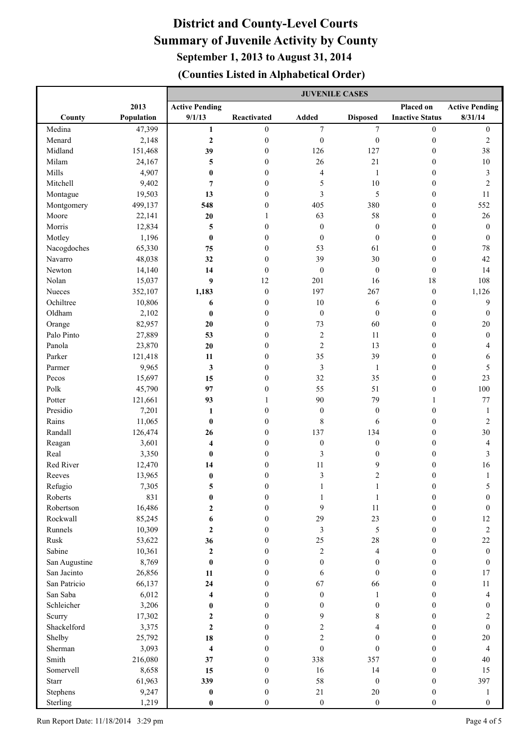|               |            | <b>JUVENILE CASES</b>   |                  |                         |                  |                        |                       |
|---------------|------------|-------------------------|------------------|-------------------------|------------------|------------------------|-----------------------|
|               | 2013       | <b>Active Pending</b>   |                  |                         |                  | Placed on              | <b>Active Pending</b> |
| County        | Population | 9/1/13                  | Reactivated      | Added                   | <b>Disposed</b>  | <b>Inactive Status</b> | 8/31/14               |
| Medina        | 47,399     | $\mathbf{1}$            | $\boldsymbol{0}$ | $\tau$                  | $\overline{7}$   | $\boldsymbol{0}$       | $\boldsymbol{0}$      |
| Menard        | 2,148      | $\mathbf 2$             | $\boldsymbol{0}$ | $\boldsymbol{0}$        | $\boldsymbol{0}$ | $\boldsymbol{0}$       | $\sqrt{2}$            |
| Midland       | 151,468    | 39                      | $\boldsymbol{0}$ | 126                     | 127              | $\boldsymbol{0}$       | 38                    |
| Milam         | 24,167     | 5                       | $\boldsymbol{0}$ | 26                      | 21               | $\boldsymbol{0}$       | $10\,$                |
| Mills         | 4,907      | $\pmb{0}$               | $\boldsymbol{0}$ | $\overline{\mathbf{4}}$ | $\mathbf{1}$     | $\boldsymbol{0}$       | $\sqrt{3}$            |
| Mitchell      | 9,402      | $\overline{7}$          | $\boldsymbol{0}$ | 5                       | $10\,$           | $\boldsymbol{0}$       | $\sqrt{2}$            |
| Montague      | 19,503     | 13                      | $\boldsymbol{0}$ | 3                       | 5                | $\boldsymbol{0}$       | $11\,$                |
| Montgomery    | 499,137    | 548                     | $\boldsymbol{0}$ | 405                     | 380              | $\boldsymbol{0}$       | 552                   |
| Moore         | 22,141     | 20                      | $\mathbf{1}$     | 63                      | 58               | $\boldsymbol{0}$       | 26                    |
| Morris        | 12,834     | 5                       | $\boldsymbol{0}$ | $\boldsymbol{0}$        | $\boldsymbol{0}$ | $\boldsymbol{0}$       | $\boldsymbol{0}$      |
| Motley        | 1,196      | $\bf{0}$                | $\boldsymbol{0}$ | $\boldsymbol{0}$        | $\boldsymbol{0}$ | $\boldsymbol{0}$       | $\boldsymbol{0}$      |
| Nacogdoches   | 65,330     | 75                      | $\boldsymbol{0}$ | 53                      | 61               | $\boldsymbol{0}$       | $78\,$                |
| Navarro       | 48,038     | 32                      | $\boldsymbol{0}$ | 39                      | 30               | $\boldsymbol{0}$       | $42\,$                |
| Newton        | 14,140     | 14                      | $\mathbf{0}$     | $\boldsymbol{0}$        | $\boldsymbol{0}$ | $\boldsymbol{0}$       | 14                    |
| Nolan         | 15,037     | $\boldsymbol{9}$        | 12               | 201                     | 16               | 18                     | 108                   |
| Nueces        | 352,107    | 1,183                   | $\boldsymbol{0}$ | 197                     | 267              | $\boldsymbol{0}$       | 1,126                 |
| Ochiltree     | 10,806     | 6                       | $\mathbf{0}$     | 10                      | 6                | $\boldsymbol{0}$       | $\mathbf{9}$          |
| Oldham        | 2,102      | $\bf{0}$                | $\mathbf{0}$     | $\boldsymbol{0}$        | $\mathbf{0}$     | $\boldsymbol{0}$       | $\boldsymbol{0}$      |
| Orange        | 82,957     | $20\,$                  | $\mathbf{0}$     | 73                      | 60               | $\boldsymbol{0}$       | $20\,$                |
| Palo Pinto    | 27,889     | 53                      | $\mathbf{0}$     | $\sqrt{2}$              | 11               | $\boldsymbol{0}$       | $\boldsymbol{0}$      |
| Panola        | 23,870     | 20                      | $\mathbf{0}$     | $\overline{c}$          | 13               | $\boldsymbol{0}$       | 4                     |
| Parker        | 121,418    | 11                      | $\mathbf{0}$     | 35                      | 39               | $\boldsymbol{0}$       | 6                     |
| Parmer        | 9,965      | 3                       | $\mathbf{0}$     | 3                       | $\mathbf{1}$     | $\boldsymbol{0}$       | 5                     |
| Pecos         | 15,697     | 15                      | $\mathbf{0}$     | 32                      | 35               | $\boldsymbol{0}$       | 23                    |
| Polk          | 45,790     | 97                      | $\mathbf{0}$     | 55                      | 51               | $\boldsymbol{0}$       | 100                   |
| Potter        | 121,661    | 93                      | 1                | 90                      | 79               | 1                      | 77                    |
| Presidio      | 7,201      | 1                       | $\mathbf{0}$     | $\boldsymbol{0}$        | $\boldsymbol{0}$ | $\boldsymbol{0}$       | $\mathbf{1}$          |
| Rains         | 11,065     | $\bf{0}$                | $\mathbf{0}$     | $\,$ 8 $\,$             | 6                | $\boldsymbol{0}$       | $\sqrt{2}$            |
| Randall       | 126,474    | 26                      | $\overline{0}$   | 137                     | 134              | $\boldsymbol{0}$       | 30                    |
| Reagan        | 3,601      | $\overline{\mathbf{4}}$ | $\overline{0}$   | $\boldsymbol{0}$        | $\boldsymbol{0}$ | $\boldsymbol{0}$       | $\overline{4}$        |
| Real          | 3,350      | $\bf{0}$                | $\overline{0}$   | 3                       | $\boldsymbol{0}$ | $\boldsymbol{0}$       | $\mathfrak{Z}$        |
| Red River     | 12,470     | 14                      | $\overline{0}$   | 11                      | 9                | $\boldsymbol{0}$       | 16                    |
| Reeves        | 13,965     | $\bf{0}$                | $\boldsymbol{0}$ | $\overline{\mathbf{3}}$ | $\overline{c}$   | $\boldsymbol{0}$       | $\mathbf{1}$          |
| Refugio       | 7,305      | 5                       | $\Omega$         | $\mathbf{1}$            | 1                | $\theta$               | 5                     |
| Roberts       | 831        | $\pmb{0}$               | $\mathbf{0}$     | 1                       | 1                | $\boldsymbol{0}$       | $\boldsymbol{0}$      |
| Robertson     | 16,486     | $\boldsymbol{2}$        | $\overline{0}$   | 9                       | 11               | $\boldsymbol{0}$       | $\boldsymbol{0}$      |
| Rockwall      | 85,245     | 6                       | $\mathbf{0}$     | 29                      | 23               | $\boldsymbol{0}$       | 12                    |
| Runnels       | 10,309     | $\boldsymbol{2}$        | $\mathbf{0}$     | $\mathfrak{Z}$          | 5                | $\boldsymbol{0}$       | $\sqrt{2}$            |
| Rusk          | 53,622     | 36                      | $\boldsymbol{0}$ | 25                      | $28\,$           | $\boldsymbol{0}$       | 22                    |
| Sabine        | 10,361     | $\mathbf 2$             | $\boldsymbol{0}$ | $\sqrt{2}$              | 4                | $\boldsymbol{0}$       | $\boldsymbol{0}$      |
| San Augustine | 8,769      | $\pmb{0}$               | $\boldsymbol{0}$ | $\boldsymbol{0}$        | $\boldsymbol{0}$ | $\boldsymbol{0}$       | $\boldsymbol{0}$      |
| San Jacinto   | 26,856     | 11                      | $\boldsymbol{0}$ | 6                       | $\boldsymbol{0}$ | $\boldsymbol{0}$       | $17\,$                |
| San Patricio  | 66,137     | 24                      | $\boldsymbol{0}$ | 67                      | 66               | $\boldsymbol{0}$       | $11\,$                |
| San Saba      | 6,012      | 4                       | $\boldsymbol{0}$ | $\boldsymbol{0}$        | $\mathbf{1}$     | $\boldsymbol{0}$       | $\overline{4}$        |
| Schleicher    | 3,206      | $\pmb{0}$               | $\boldsymbol{0}$ | $\boldsymbol{0}$        | $\boldsymbol{0}$ | $\boldsymbol{0}$       | $\boldsymbol{0}$      |
| Scurry        | 17,302     | $\mathbf 2$             | $\boldsymbol{0}$ | 9                       | 8                | $\boldsymbol{0}$       | $\sqrt{2}$            |
| Shackelford   | 3,375      | $\mathbf{2}$            | $\boldsymbol{0}$ | $\overline{c}$          | 4                | $\boldsymbol{0}$       | $\boldsymbol{0}$      |
| Shelby        | 25,792     | 18                      | $\boldsymbol{0}$ | $\overline{c}$          | $\mathbf{0}$     | $\boldsymbol{0}$       | 20                    |
| Sherman       | 3,093      | $\overline{\bf{4}}$     | $\boldsymbol{0}$ | $\boldsymbol{0}$        | $\mathbf{0}$     | $\boldsymbol{0}$       | $\overline{4}$        |
| Smith         | 216,080    | 37                      | $\boldsymbol{0}$ | 338                     | 357              | $\boldsymbol{0}$       | $40\,$                |
| Somervell     | 8,658      | 15                      | $\boldsymbol{0}$ | 16                      | 14               | $\boldsymbol{0}$       | 15                    |
| Starr         | 61,963     | 339                     | $\boldsymbol{0}$ | 58                      | $\boldsymbol{0}$ | $\boldsymbol{0}$       | 397                   |
| Stephens      | 9,247      | $\pmb{0}$               | $\boldsymbol{0}$ | 21                      | $20\,$           | $\boldsymbol{0}$       | $\mathbf{1}$          |
| Sterling      | 1,219      | $\pmb{0}$               | $\boldsymbol{0}$ | $\boldsymbol{0}$        | $\boldsymbol{0}$ | $\boldsymbol{0}$       | $\boldsymbol{0}$      |